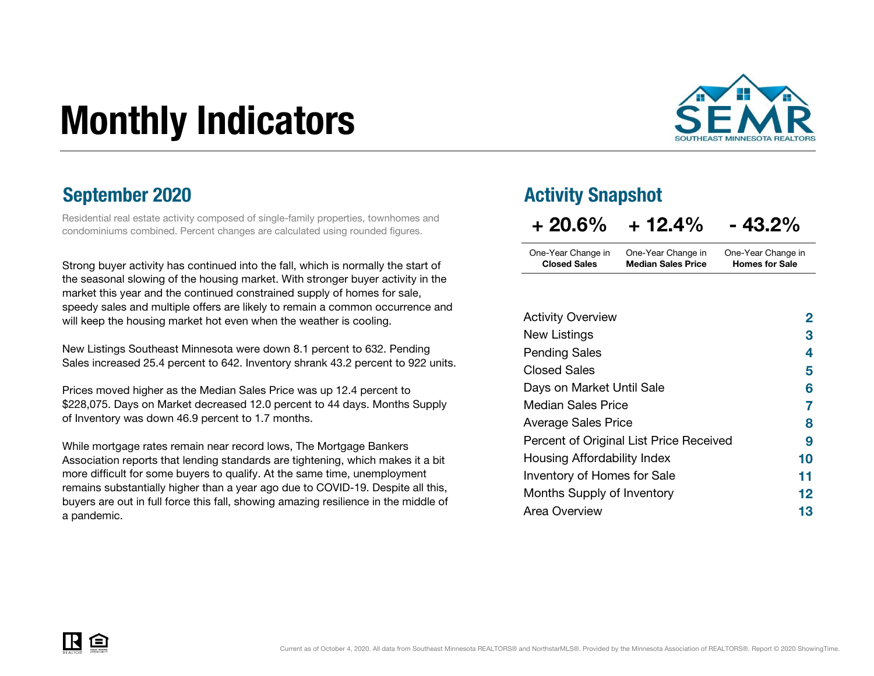# Monthly Indicators



Residential real estate activity composed of single-family properties, townhomes and condominiums combined. Percent changes are calculated using rounded figures.

Strong buyer activity has continued into the fall, which is normally the start of the seasonal slowing of the housing market. With stronger buyer activity in the market this year and the continued constrained supply of homes for sale, speedy sales and multiple offers are likely to remain a common occurrence and will keep the housing market hot even when the weather is cooling.

New Listings Southeast Minnesota were down 8.1 percent to 632. Pending Sales increased 25.4 percent to 642. Inventory shrank 43.2 percent to 922 units.

Prices moved higher as the Median Sales Price was up 12.4 percent to \$228,075. Days on Market decreased 12.0 percent to 44 days. Months Supply of Inventory was down 46.9 percent to 1.7 months.

While mortgage rates remain near record lows, The Mortgage Bankers Association reports that lending standards are tightening, which makes it a bit more difficult for some buyers to qualify. At the same time, unemployment remains substantially higher than a year ago due to COVID-19. Despite all this, buyers are out in full force this fall, showing amazing resilience in the middle of a pandemic.

#### September 2020 **Activity Snapshot**

| $+20.6\%$           | $+12.4\%$                 | $-43.2%$              |
|---------------------|---------------------------|-----------------------|
| One-Year Change in  | One-Year Change in        | One-Year Change in    |
| <b>Closed Sales</b> | <b>Median Sales Price</b> | <b>Homes for Sale</b> |

| <b>Activity Overview</b>                | 2       |
|-----------------------------------------|---------|
| New Listings                            | З       |
| <b>Pending Sales</b>                    | 4       |
| Closed Sales                            | 5       |
| Days on Market Until Sale               | 6       |
| <b>Median Sales Price</b>               | 7       |
| <b>Average Sales Price</b>              | 8       |
| Percent of Original List Price Received | 9       |
| Housing Affordability Index             | 10      |
| <b>Inventory of Homes for Sale</b>      | 11      |
| Months Supply of Inventory              | $12 \,$ |
| Area Overview                           | 13      |

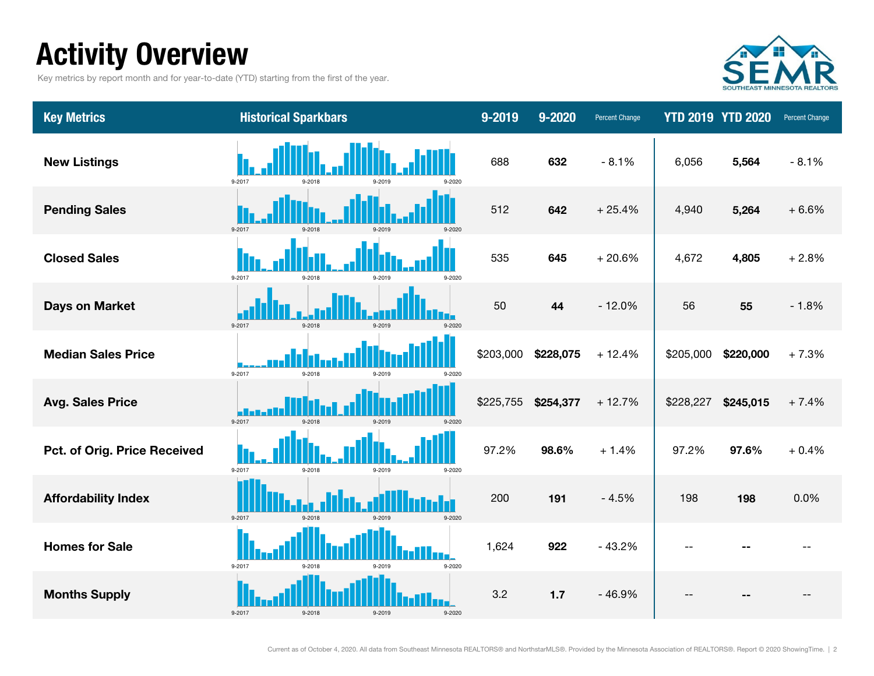### Activity Overview

Key metrics by report month and for year-to-date (YTD) starting from the first of the year.



| <b>Key Metrics</b>           | <b>Historical Sparkbars</b>                  | 9-2019    | 9-2020    | <b>Percent Change</b> |           | <b>YTD 2019 YTD 2020</b> | Percent Change |
|------------------------------|----------------------------------------------|-----------|-----------|-----------------------|-----------|--------------------------|----------------|
| <b>New Listings</b>          | 9-2017<br>$9 - 2018$<br>0.2010<br>9-2020     | 688       | 632       | $-8.1%$               | 6,056     | 5,564                    | $-8.1%$        |
| <b>Pending Sales</b>         | 9-2017<br>$9 - 2018$<br>9-2019<br>9-2020     | 512       | 642       | $+25.4%$              | 4,940     | 5,264                    | $+6.6%$        |
| <b>Closed Sales</b>          | 9-2017<br>9-2018<br>9-2019<br>9-2020         | 535       | 645       | $+20.6%$              | 4,672     | 4,805                    | $+2.8%$        |
| <b>Days on Market</b>        | 9-2017<br>$9 - 2018$<br>9-2019<br>$9 - 2020$ | 50        | 44        | $-12.0%$              | 56        | 55                       | $-1.8%$        |
| <b>Median Sales Price</b>    | 9-2017<br>9-2018                             | \$203,000 | \$228,075 | $+12.4%$              | \$205,000 | \$220,000                | $+7.3%$        |
| <b>Avg. Sales Price</b>      | 9-2017<br>9-2018<br>9-2019                   | \$225,755 | \$254,377 | $+12.7%$              | \$228,227 | \$245,015                | $+7.4%$        |
| Pct. of Orig. Price Received | 9-2017<br>9-2018<br>9-2019<br>9-2020         | 97.2%     | 98.6%     | $+1.4%$               | 97.2%     | 97.6%                    | $+0.4%$        |
| <b>Affordability Index</b>   | 9-2017<br>9-2018<br>$9 - 2020$               | 200       | 191       | $-4.5%$               | 198       | 198                      | 0.0%           |
| <b>Homes for Sale</b>        | 9-2017<br>9-2020<br>9-2018                   | 1,624     | 922       | $-43.2%$              |           |                          |                |
| <b>Months Supply</b>         | 9-2017                                       | 3.2       | $1.7$     | $-46.9%$              |           |                          |                |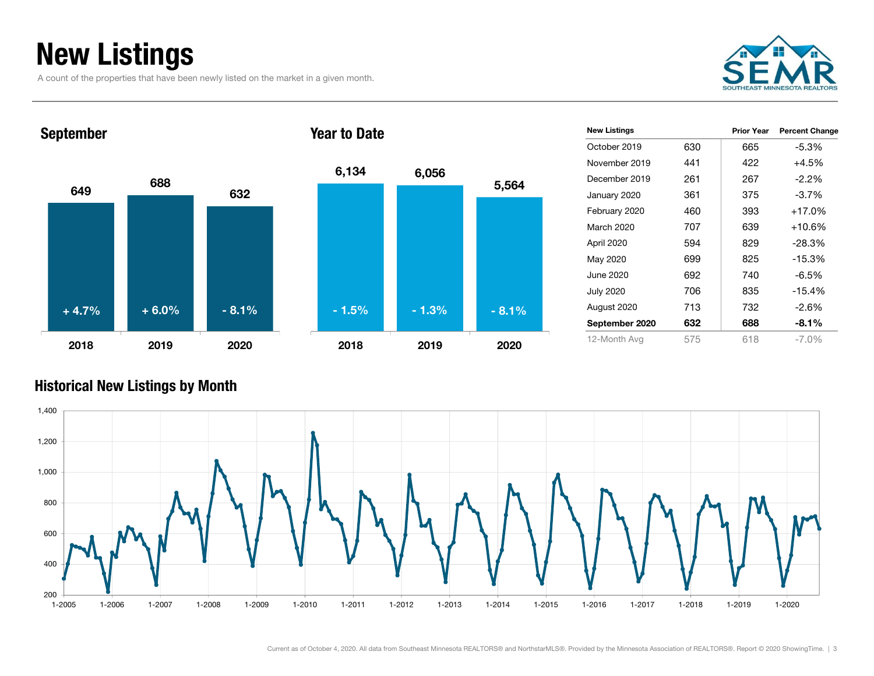### New Listings

A count of the properties that have been newly listed on the market in a given month.



Prior Year Percent Change

665 -5.3%

422 +4.5%

 261 267 -2.2%375 -3.7%  $393 +17.0%$ 

639 +10.6% 829 -28.3% 825 -15.3%

740 -6.5% 835 -15.4% 732 -2.6% 688 -8.1% 618 -7.0%

### 6499 <sup>688</sup> 632 2018 2019 2020September 6,134 6,056 2018 2019 Year to Date+ 4.7%+ 6.0% - 8.1% - 1.3% - 1.5% - 8.1%

|         | <b>New Listings</b> |     |  |
|---------|---------------------|-----|--|
|         | October 2019        | 630 |  |
|         | November 2019       | 441 |  |
| 5,564   | December 2019       | 261 |  |
|         | January 2020        | 361 |  |
|         | February 2020       | 460 |  |
|         | March 2020          | 707 |  |
|         | April 2020          | 594 |  |
|         | May 2020            | 699 |  |
|         | June 2020           | 692 |  |
|         | <b>July 2020</b>    | 706 |  |
| $-8.1%$ | August 2020         | 713 |  |
|         | September 2020      | 632 |  |
| 2020    | 12-Month Avg        | 575 |  |
|         |                     |     |  |

#### Historical New Listings by Month

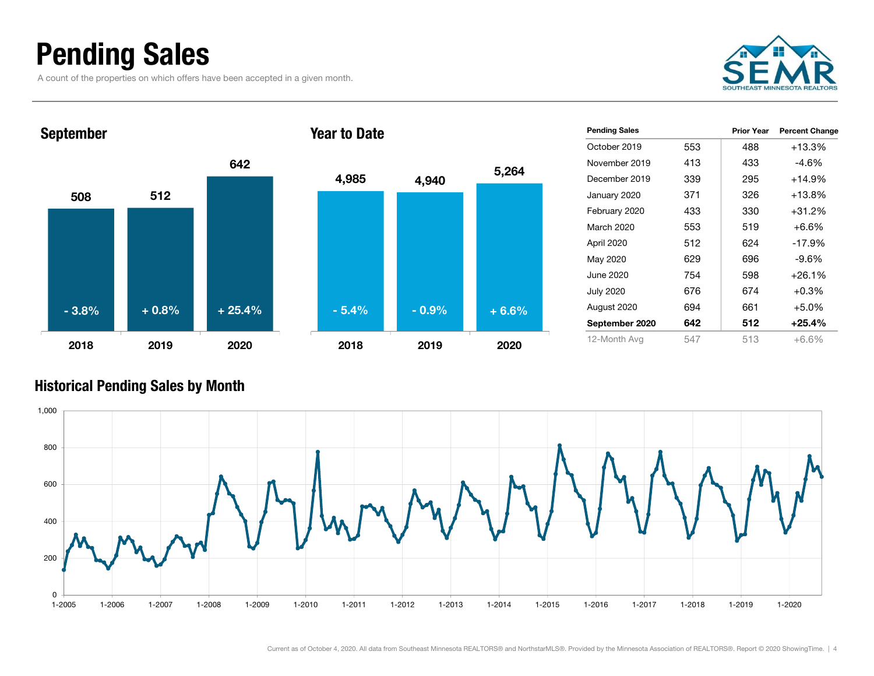### Pending Sales

A count of the properties on which offers have been accepted in a given month.





| <b>Pending Sales</b> |     | <b>Prior Year</b> | <b>Percent Change</b> |
|----------------------|-----|-------------------|-----------------------|
| October 2019         | 553 | 488               | $+13.3%$              |
| November 2019        | 413 | 433               | -4.6%                 |
| December 2019        | 339 | 295               | $+14.9%$              |
| January 2020         | 371 | 326               | +13.8%                |
| February 2020        | 433 | 330               | $+31.2%$              |
| March 2020           | 553 | 519               | $+6.6%$               |
| April 2020           | 512 | 624               | $-17.9%$              |
| May 2020             | 629 | 696               | -9.6%                 |
| June 2020            | 754 | 598               | $+26.1%$              |
| <b>July 2020</b>     | 676 | 674               | $+0.3%$               |
| August 2020          | 694 | 661               | $+5.0%$               |
| September 2020       | 642 | 512               | $+25.4%$              |
| 12-Month Avg         | 547 | 513               | $+6.6%$               |

#### Historical Pending Sales by Month

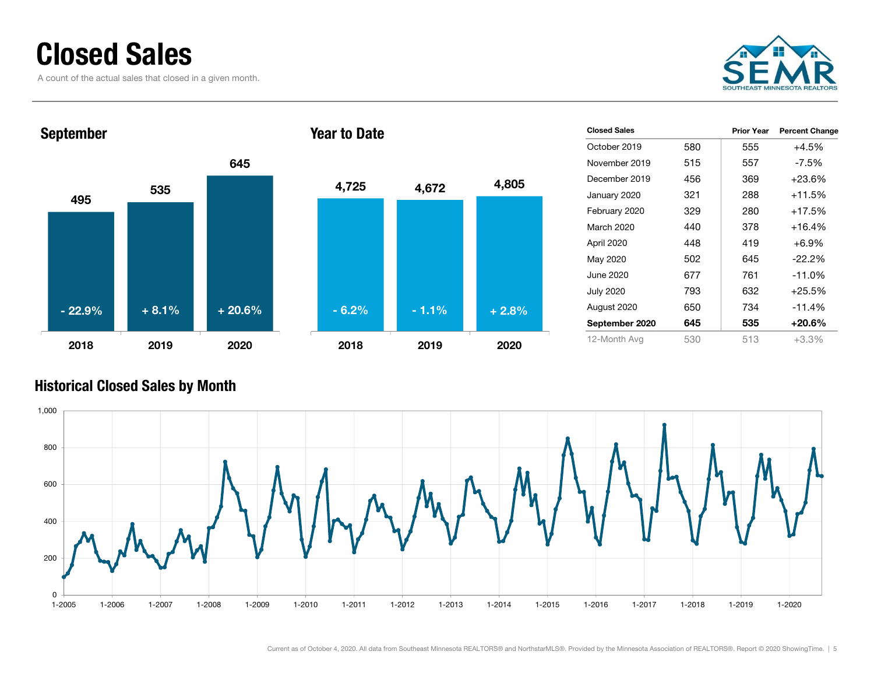### Closed Sales

A count of the actual sales that closed in a given month.





| <b>Closed Sales</b> |     | <b>Prior Year</b> | <b>Percent Change</b> |
|---------------------|-----|-------------------|-----------------------|
| October 2019        | 580 | 555               | $+4.5%$               |
| November 2019       | 515 | 557               | -7.5%                 |
| December 2019       | 456 | 369               | +23.6%                |
| January 2020        | 321 | 288               | $+11.5%$              |
| February 2020       | 329 | 280               | $+17.5%$              |
| March 2020          | 440 | 378               | $+16.4%$              |
| April 2020          | 448 | 419               | +6.9%                 |
| May 2020            | 502 | 645               | $-22.2%$              |
| June 2020           | 677 | 761               | $-11.0\%$             |
| <b>July 2020</b>    | 793 | 632               | $+25.5%$              |
| August 2020         | 650 | 734               | $-11.4%$              |
| September 2020      | 645 | 535               | +20.6%                |
| 12-Month Avg        | 530 | 513               | $+3.3%$               |

#### Historical Closed Sales by Month

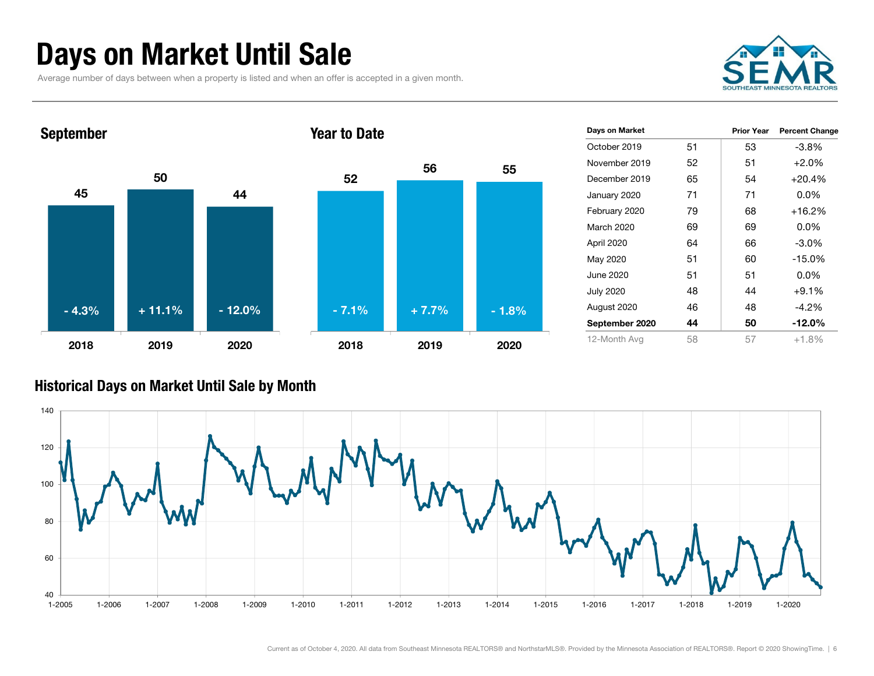### Days on Market Until Sale

Average number of days between when a property is listed and when an offer is accepted in a given month.





| Days on Market   |    | <b>Prior Year</b> | <b>Percent Change</b> |
|------------------|----|-------------------|-----------------------|
| October 2019     | 51 | 53                | $-3.8%$               |
| November 2019    | 52 | 51                | $+2.0%$               |
| December 2019    | 65 | 54                | $+20.4%$              |
| January 2020     | 71 | 71                | $0.0\%$               |
| February 2020    | 79 | 68                | $+16.2%$              |
| March 2020       | 69 | 69                | $0.0\%$               |
| April 2020       | 64 | 66                | $-3.0\%$              |
| May 2020         | 51 | 60                | $-15.0%$              |
| June 2020        | 51 | 51                | $0.0\%$               |
| <b>July 2020</b> | 48 | 44                | $+9.1%$               |
| August 2020      | 46 | 48                | $-4.2\%$              |
| September 2020   | 44 | 50                | $-12.0\%$             |
| 12-Month Avg     | 58 | 57                | $+1.8%$               |

#### Historical Days on Market Until Sale by Month

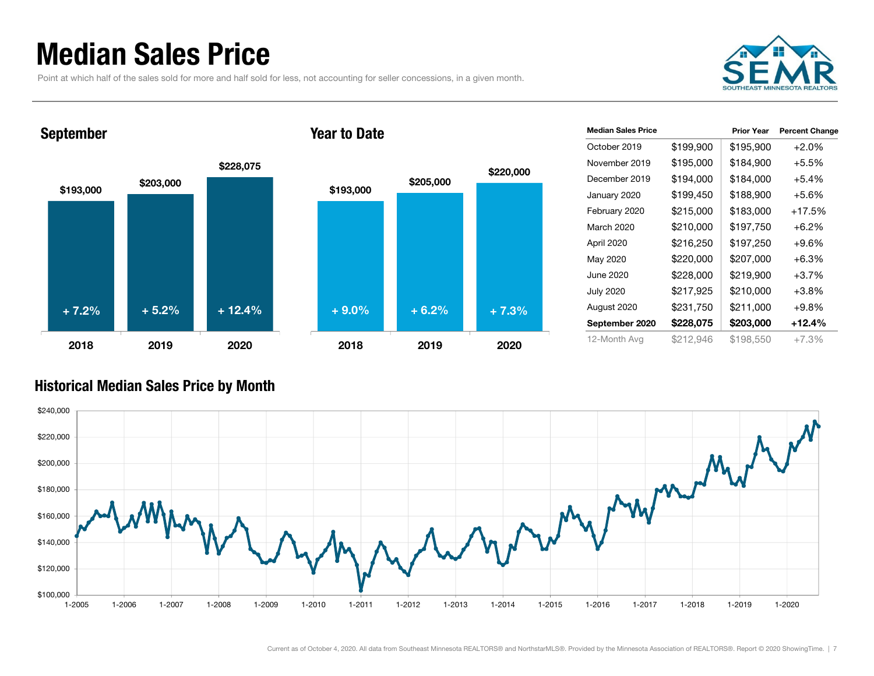### Median Sales Price

Point at which half of the sales sold for more and half sold for less, not accounting for seller concessions, in a given month.



#### September





| <b>Median Sales Price</b> |           | <b>Prior Year</b> | <b>Percent Change</b> |
|---------------------------|-----------|-------------------|-----------------------|
| October 2019              | \$199,900 | \$195,900         | $+2.0%$               |
| November 2019             | \$195,000 | \$184,900         | $+5.5%$               |
| December 2019             | \$194,000 | \$184,000         | $+5.4%$               |
| January 2020              | \$199,450 | \$188,900         | $+5.6%$               |
| February 2020             | \$215,000 | \$183,000         | +17.5%                |
| March 2020                | \$210,000 | \$197,750         | $+6.2%$               |
| April 2020                | \$216,250 | \$197,250         | $+9.6\%$              |
| May 2020                  | \$220,000 | \$207,000         | $+6.3%$               |
| June 2020                 | \$228,000 | \$219,900         | $+3.7%$               |
| <b>July 2020</b>          | \$217,925 | \$210,000         | $+3.8%$               |
| August 2020               | \$231,750 | \$211,000         | $+9.8%$               |
| September 2020            | \$228,075 | \$203,000         | +12.4%                |
| 12-Month Avg              | \$212,946 | \$198.550         | +7.3%                 |

#### Historical Median Sales Price by Month

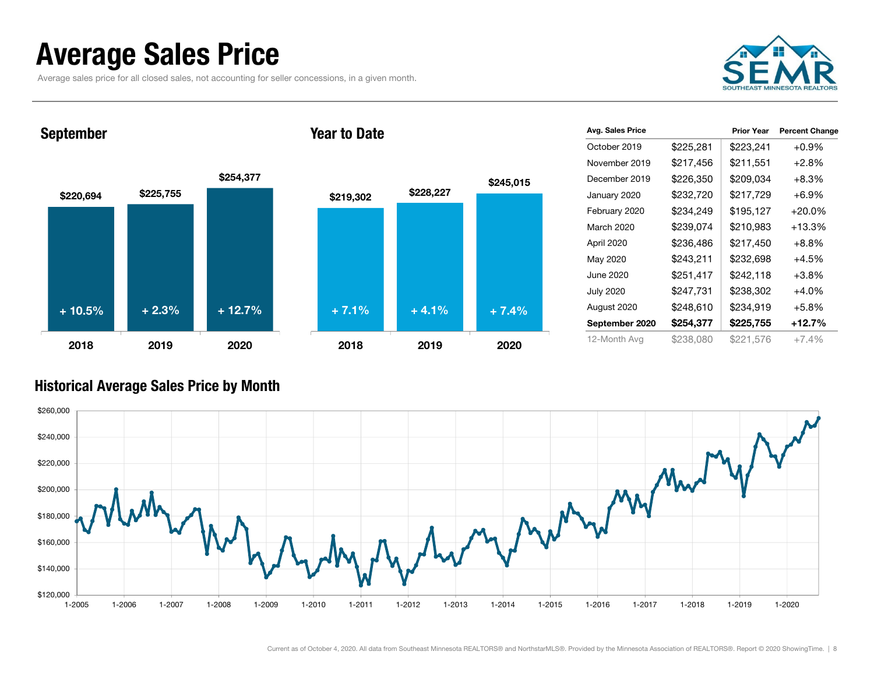### Average Sales Price

Average sales price for all closed sales, not accounting for seller concessions, in a given month.



September

#### Year to Date



| Avg. Sales Price |           | <b>Prior Year</b> | <b>Percent Change</b> |
|------------------|-----------|-------------------|-----------------------|
| October 2019     | \$225,281 | \$223,241         | $+0.9%$               |
| November 2019    | \$217,456 | \$211,551         | $+2.8%$               |
| December 2019    | \$226,350 | \$209,034         | $+8.3\%$              |
| January 2020     | \$232,720 | \$217,729         | $+6.9%$               |
| February 2020    | \$234,249 | \$195,127         | $+20.0\%$             |
| March 2020       | \$239,074 | \$210,983         | $+13.3%$              |
| April 2020       | \$236,486 | \$217,450         | $+8.8\%$              |
| May 2020         | \$243,211 | \$232,698         | $+4.5%$               |
| June 2020        | \$251,417 | \$242,118         | $+3.8%$               |
| <b>July 2020</b> | \$247,731 | \$238,302         | $+4.0%$               |
| August 2020      | \$248,610 | \$234,919         | $+5.8%$               |
| September 2020   | \$254,377 | \$225,755         | +12.7%                |
| 12-Month Avg     | \$238,080 | \$221,576         | $+7.4%$               |

#### Historical Average Sales Price by Month

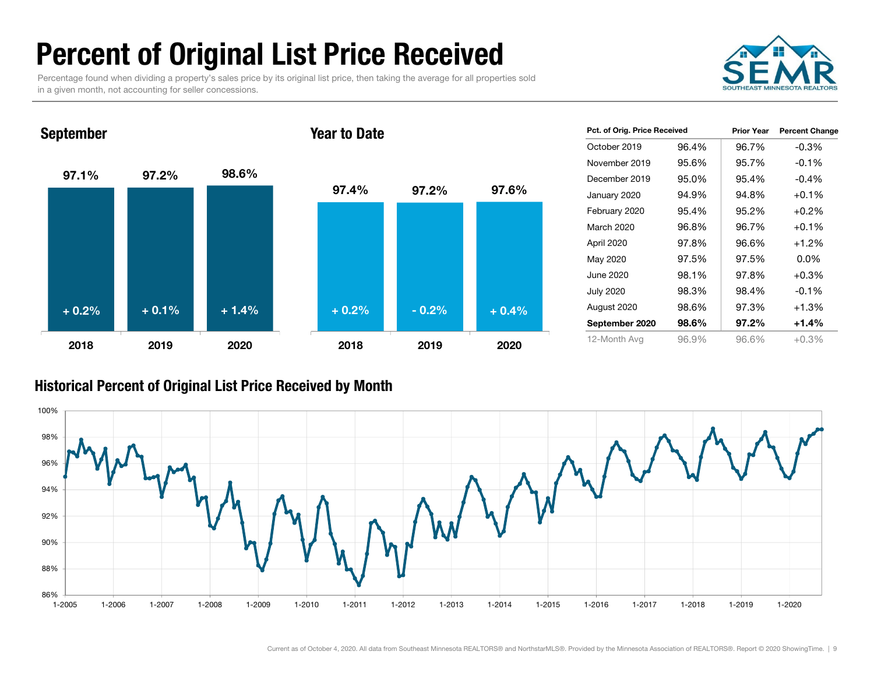### Percent of Original List Price Received

Percentage found when dividing a property's sales price by its original list price, then taking the average for all properties sold in a given month, not accounting for seller concessions.



97.1% 97.2% 98.6% 2018 2019 2020September 97.4% 97.2% 97.6% 2018 2019 2020Year to Date+ 0.2% $\%$  + 0.1% + 1.4% + 0.2% - 0.2% + 0.4%

| Pct. of Orig. Price Received |       | <b>Prior Year</b> | <b>Percent Change</b> |
|------------------------------|-------|-------------------|-----------------------|
| October 2019                 | 96.4% | 96.7%             | $-0.3%$               |
| November 2019                | 95.6% | 95.7%             | $-0.1%$               |
| December 2019                | 95.0% | 95.4%             | $-0.4%$               |
| January 2020                 | 94.9% | 94.8%             | $+0.1%$               |
| February 2020                | 95.4% | 95.2%             | $+0.2%$               |
| March 2020                   | 96.8% | 96.7%             | $+0.1%$               |
| April 2020                   | 97.8% | 96.6%             | $+1.2%$               |
| May 2020                     | 97.5% | 97.5%             | $0.0\%$               |
| June 2020                    | 98.1% | 97.8%             | $+0.3%$               |
| July 2020                    | 98.3% | 98.4%             | $-0.1%$               |
| August 2020                  | 98.6% | 97.3%             | $+1.3%$               |
| September 2020               | 98.6% | 97.2%             | $+1.4%$               |
| 12-Month Avg                 | 96.9% | 96.6%             | $+0.3%$               |

#### Historical Percent of Original List Price Received by Month

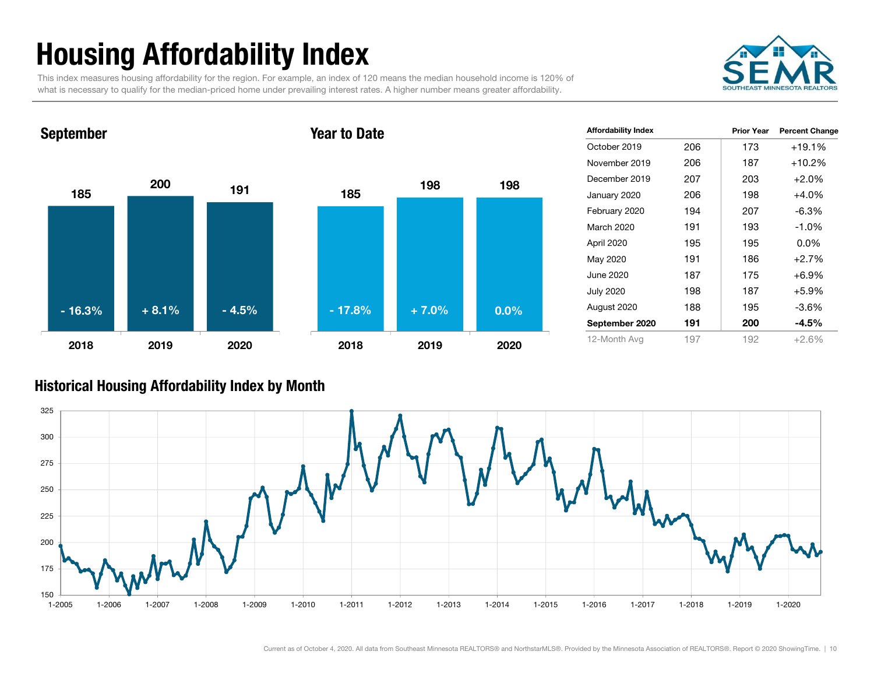## Housing Affordability Index

This index measures housing affordability for the region. For example, an index of 120 means the median household income is 120% of what is necessary to qualify for the median-priced home under prevailing interest rates. A higher number means greater affordability.



#### 185200 1912018 2019 2020September 1855 <sup>198</sup> <sup>198</sup> 2018 2019 2020Year to Date- 16.3% $\%$  + 8.1% - 4.5% + 71.8% + 7.0% 0.0%

| <b>Affordability Index</b> |     | <b>Prior Year</b> | <b>Percent Change</b> |
|----------------------------|-----|-------------------|-----------------------|
| October 2019               | 206 | 173               | $+19.1%$              |
| November 2019              | 206 | 187               | $+10.2%$              |
| December 2019              | 207 | 203               | $+2.0%$               |
| January 2020               | 206 | 198               | $+4.0%$               |
| February 2020              | 194 | 207               | $-6.3\%$              |
| March 2020                 | 191 | 193               | $-1.0\%$              |
| April 2020                 | 195 | 195               | $0.0\%$               |
| May 2020                   | 191 | 186               | $+2.7%$               |
| June 2020                  | 187 | 175               | $+6.9%$               |
| <b>July 2020</b>           | 198 | 187               | $+5.9%$               |
| August 2020                | 188 | 195               | $-3.6%$               |
| September 2020             | 191 | 200               | $-4.5\%$              |
| 12-Month Avg               | 197 | 192               | $+2.6%$               |

#### Historical Housing Affordability Index by Mont h

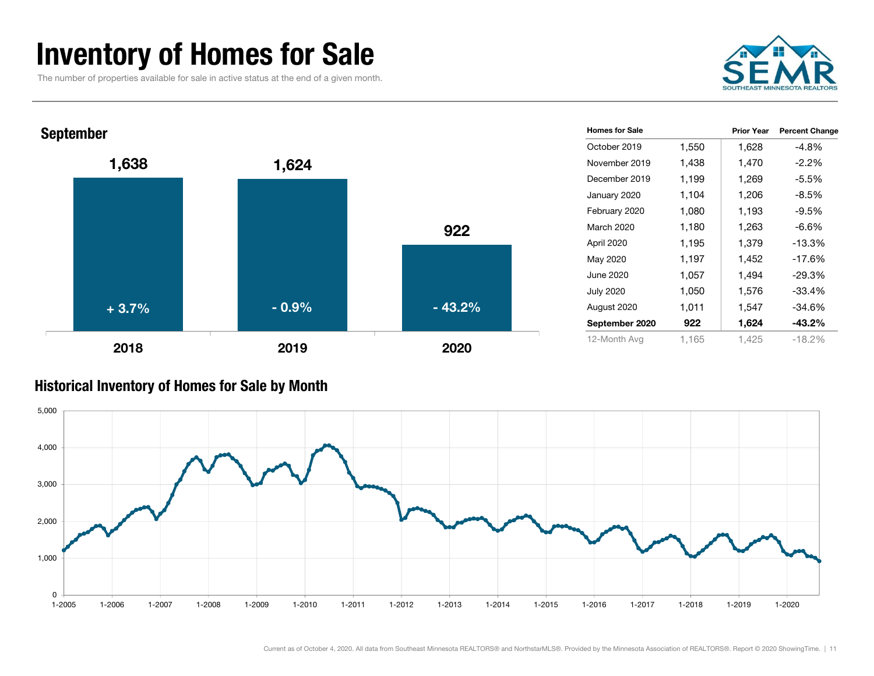### Inventory of Homes for Sale

The number of properties available for sale in active status at the end of a given month.





#### Historical Inventory of Homes for Sale by Month

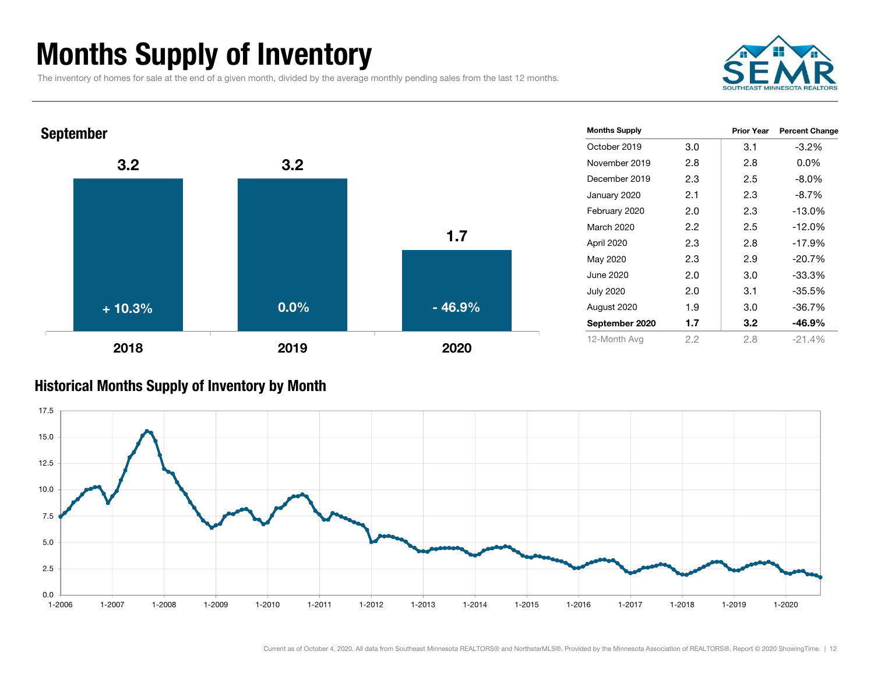### Months Supply of Inventory

The inventory of homes for sale at the end of a given month, divided by the average monthly pending sales from the last 12 months.





#### Historical Months Supply of Inventory by Month